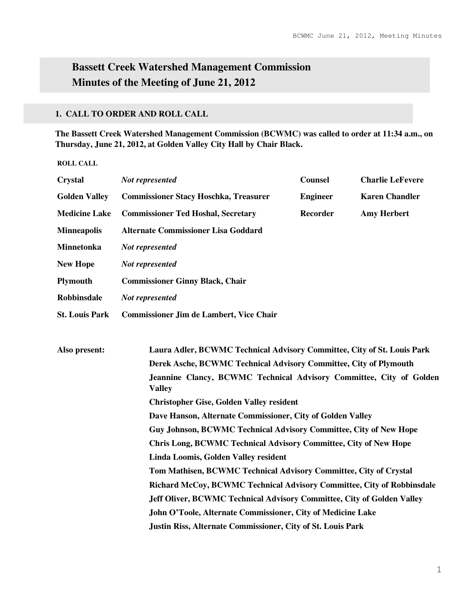# **Bassett Creek Watershed Management Commission Minutes of the Meeting of June 21, 2012**

## **1. CALL TO ORDER AND ROLL CALL**

**The Bassett Creek Watershed Management Commission (BCWMC) was called to order at 11:34 a.m., on Thursday, June 21, 2012, at Golden Valley City Hall by Chair Black.** 

**ROLL CALL** 

| <b>Crystal</b>        | Not represented                                                                      | <b>Counsel</b>  | <b>Charlie LeFevere</b> |  |  |
|-----------------------|--------------------------------------------------------------------------------------|-----------------|-------------------------|--|--|
| <b>Golden Valley</b>  | <b>Commissioner Stacy Hoschka, Treasurer</b>                                         | <b>Engineer</b> | <b>Karen Chandler</b>   |  |  |
| <b>Medicine Lake</b>  | <b>Commissioner Ted Hoshal, Secretary</b>                                            | <b>Recorder</b> | <b>Amy Herbert</b>      |  |  |
| <b>Minneapolis</b>    | <b>Alternate Commissioner Lisa Goddard</b>                                           |                 |                         |  |  |
| <b>Minnetonka</b>     | Not represented                                                                      |                 |                         |  |  |
| <b>New Hope</b>       | Not represented                                                                      |                 |                         |  |  |
| <b>Plymouth</b>       | <b>Commissioner Ginny Black, Chair</b>                                               |                 |                         |  |  |
| <b>Robbinsdale</b>    | Not represented                                                                      |                 |                         |  |  |
| <b>St. Louis Park</b> | <b>Commissioner Jim de Lambert, Vice Chair</b>                                       |                 |                         |  |  |
|                       |                                                                                      |                 |                         |  |  |
| Also present:         | Laura Adler, BCWMC Technical Advisory Committee, City of St. Louis Park              |                 |                         |  |  |
|                       | Derek Asche, BCWMC Technical Advisory Committee, City of Plymouth                    |                 |                         |  |  |
|                       | Jeannine Clancy, BCWMC Technical Advisory Committee, City of Golden<br><b>Valley</b> |                 |                         |  |  |
|                       | <b>Christopher Gise, Golden Valley resident</b>                                      |                 |                         |  |  |
|                       | Dave Hanson, Alternate Commissioner, City of Golden Valley                           |                 |                         |  |  |
|                       | Guy Johnson, BCWMC Technical Advisory Committee, City of New Hope                    |                 |                         |  |  |
|                       | <b>Chris Long, BCWMC Technical Advisory Committee, City of New Hope</b>              |                 |                         |  |  |
|                       | Linda Loomis, Golden Valley resident                                                 |                 |                         |  |  |
|                       | Tom Mathisen, BCWMC Technical Advisory Committee, City of Crystal                    |                 |                         |  |  |
|                       | Richard McCoy, BCWMC Technical Advisory Committee, City of Robbinsdale               |                 |                         |  |  |
|                       | Jeff Oliver, BCWMC Technical Advisory Committee, City of Golden Valley               |                 |                         |  |  |
|                       | John O'Toole, Alternate Commissioner, City of Medicine Lake                          |                 |                         |  |  |
|                       | Justin Riss, Alternate Commissioner, City of St. Louis Park                          |                 |                         |  |  |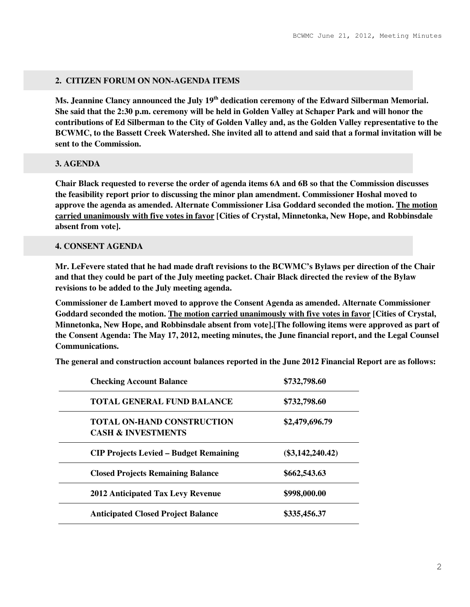#### **2. CITIZEN FORUM ON NON-AGENDA ITEMS**

**Ms. Jeannine Clancy announced the July 19th dedication ceremony of the Edward Silberman Memorial. She said that the 2:30 p.m. ceremony will be held in Golden Valley at Schaper Park and will honor the contributions of Ed Silberman to the City of Golden Valley and, as the Golden Valley representative to the BCWMC, to the Bassett Creek Watershed. She invited all to attend and said that a formal invitation will be sent to the Commission.** 

#### **3. AGENDA**

**Chair Black requested to reverse the order of agenda items 6A and 6B so that the Commission discusses the feasibility report prior to discussing the minor plan amendment. Commissioner Hoshal moved to approve the agenda as amended. Alternate Commissioner Lisa Goddard seconded the motion. The motion carried unanimously with five votes in favor [Cities of Crystal, Minnetonka, New Hope, and Robbinsdale absent from vote].** 

#### **4. CONSENT AGENDA**

**Mr. LeFevere stated that he had made draft revisions to the BCWMC's Bylaws per direction of the Chair and that they could be part of the July meeting packet. Chair Black directed the review of the Bylaw revisions to be added to the July meeting agenda.** 

**Commissioner de Lambert moved to approve the Consent Agenda as amended. Alternate Commissioner Goddard seconded the motion. The motion carried unanimously with five votes in favor [Cities of Crystal, Minnetonka, New Hope, and Robbinsdale absent from vote].[The following items were approved as part of the Consent Agenda: The May 17, 2012, meeting minutes, the June financial report, and the Legal Counsel Communications.** 

**The general and construction account balances reported in the June 2012 Financial Report are as follows:** 

| <b>Checking Account Balance</b>                                    | \$732,798.60       |
|--------------------------------------------------------------------|--------------------|
| <b>TOTAL GENERAL FUND BALANCE</b>                                  | \$732,798.60       |
| <b>TOTAL ON-HAND CONSTRUCTION</b><br><b>CASH &amp; INVESTMENTS</b> | \$2,479,696.79     |
| <b>CIP Projects Levied – Budget Remaining</b>                      | $(\$3,142,240.42)$ |
| <b>Closed Projects Remaining Balance</b>                           | \$662,543.63       |
| <b>2012 Anticipated Tax Levy Revenue</b>                           | \$998,000.00       |
| <b>Anticipated Closed Project Balance</b>                          | \$335,456.37       |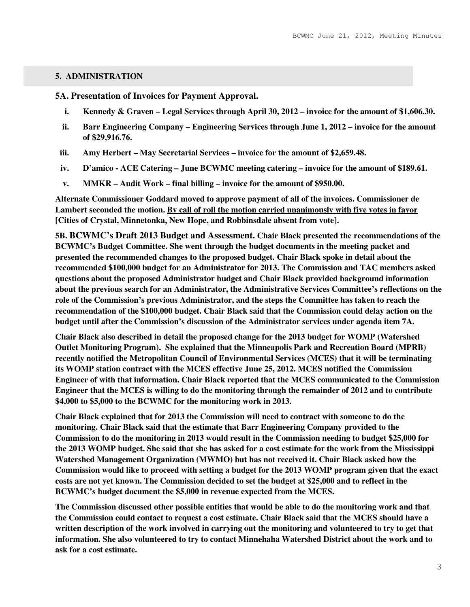### **5. ADMINISTRATION**

**5A. Presentation of Invoices for Payment Approval.**

- **i. Kennedy & Graven Legal Services through April 30, 2012 invoice for the amount of \$1,606.30.**
- **ii. Barr Engineering Company Engineering Services through June 1, 2012 invoice for the amount of \$29,916.76.**
- **iii. Amy Herbert May Secretarial Services invoice for the amount of \$2,659.48.**
- **iv. D'amico ACE Catering June BCWMC meeting catering invoice for the amount of \$189.61.**
- **v. MMKR Audit Work final billing invoice for the amount of \$950.00.**

**Alternate Commissioner Goddard moved to approve payment of all of the invoices. Commissioner de Lambert seconded the motion. By call of roll the motion carried unanimously with five votes in favor [Cities of Crystal, Minnetonka, New Hope, and Robbinsdale absent from vote].** 

**5B. BCWMC's Draft 2013 Budget and Assessment. Chair Black presented the recommendations of the BCWMC's Budget Committee. She went through the budget documents in the meeting packet and presented the recommended changes to the proposed budget. Chair Black spoke in detail about the recommended \$100,000 budget for an Administrator for 2013. The Commission and TAC members asked questions about the proposed Administrator budget and Chair Black provided background information about the previous search for an Administrator, the Administrative Services Committee's reflections on the role of the Commission's previous Administrator, and the steps the Committee has taken to reach the recommendation of the \$100,000 budget. Chair Black said that the Commission could delay action on the budget until after the Commission's discussion of the Administrator services under agenda item 7A.** 

**Chair Black also described in detail the proposed change for the 2013 budget for WOMP (Watershed Outlet Monitoring Program). She explained that the Minneapolis Park and Recreation Board (MPRB) recently notified the Metropolitan Council of Environmental Services (MCES) that it will be terminating its WOMP station contract with the MCES effective June 25, 2012. MCES notified the Commission Engineer of with that information. Chair Black reported that the MCES communicated to the Commission Engineer that the MCES is willing to do the monitoring through the remainder of 2012 and to contribute \$4,000 to \$5,000 to the BCWMC for the monitoring work in 2013.** 

**Chair Black explained that for 2013 the Commission will need to contract with someone to do the monitoring. Chair Black said that the estimate that Barr Engineering Company provided to the Commission to do the monitoring in 2013 would result in the Commission needing to budget \$25,000 for the 2013 WOMP budget. She said that she has asked for a cost estimate for the work from the Mississippi Watershed Management Organization (MWMO) but has not received it. Chair Black asked how the Commission would like to proceed with setting a budget for the 2013 WOMP program given that the exact costs are not yet known. The Commission decided to set the budget at \$25,000 and to reflect in the BCWMC's budget document the \$5,000 in revenue expected from the MCES.** 

**The Commission discussed other possible entities that would be able to do the monitoring work and that the Commission could contact to request a cost estimate. Chair Black said that the MCES should have a written description of the work involved in carrying out the monitoring and volunteered to try to get that information. She also volunteered to try to contact Minnehaha Watershed District about the work and to ask for a cost estimate.**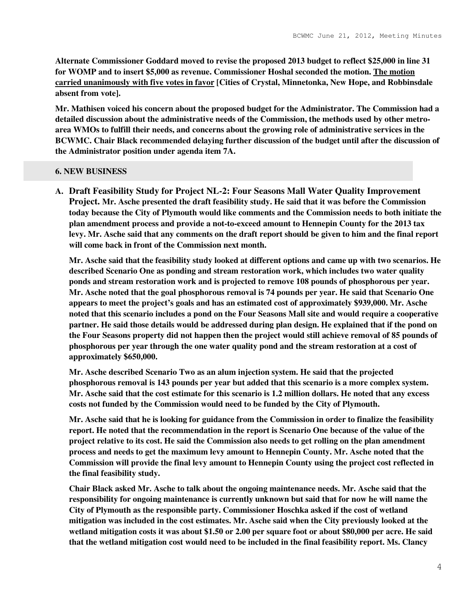**Alternate Commissioner Goddard moved to revise the proposed 2013 budget to reflect \$25,000 in line 31 for WOMP and to insert \$5,000 as revenue. Commissioner Hoshal seconded the motion. The motion carried unanimously with five votes in favor [Cities of Crystal, Minnetonka, New Hope, and Robbinsdale absent from vote].** 

**Mr. Mathisen voiced his concern about the proposed budget for the Administrator. The Commission had a detailed discussion about the administrative needs of the Commission, the methods used by other metroarea WMOs to fulfill their needs, and concerns about the growing role of administrative services in the BCWMC. Chair Black recommended delaying further discussion of the budget until after the discussion of the Administrator position under agenda item 7A.** 

#### **6. NEW BUSINESS**

**A. Draft Feasibility Study for Project NL-2: Four Seasons Mall Water Quality Improvement Project. Mr. Asche presented the draft feasibility study. He said that it was before the Commission today because the City of Plymouth would like comments and the Commission needs to both initiate the plan amendment process and provide a not-to-exceed amount to Hennepin County for the 2013 tax levy. Mr. Asche said that any comments on the draft report should be given to him and the final report will come back in front of the Commission next month.** 

**Mr. Asche said that the feasibility study looked at different options and came up with two scenarios. He described Scenario One as ponding and stream restoration work, which includes two water quality ponds and stream restoration work and is projected to remove 108 pounds of phosphorous per year. Mr. Asche noted that the goal phosphorous removal is 74 pounds per year. He said that Scenario One appears to meet the project's goals and has an estimated cost of approximately \$939,000. Mr. Asche noted that this scenario includes a pond on the Four Seasons Mall site and would require a cooperative partner. He said those details would be addressed during plan design. He explained that if the pond on the Four Seasons property did not happen then the project would still achieve removal of 85 pounds of phosphorous per year through the one water quality pond and the stream restoration at a cost of approximately \$650,000.** 

**Mr. Asche described Scenario Two as an alum injection system. He said that the projected phosphorous removal is 143 pounds per year but added that this scenario is a more complex system. Mr. Asche said that the cost estimate for this scenario is 1.2 million dollars. He noted that any excess costs not funded by the Commission would need to be funded by the City of Plymouth.** 

**Mr. Asche said that he is looking for guidance from the Commission in order to finalize the feasibility report. He noted that the recommendation in the report is Scenario One because of the value of the project relative to its cost. He said the Commission also needs to get rolling on the plan amendment process and needs to get the maximum levy amount to Hennepin County. Mr. Asche noted that the Commission will provide the final levy amount to Hennepin County using the project cost reflected in the final feasibility study.** 

**Chair Black asked Mr. Asche to talk about the ongoing maintenance needs. Mr. Asche said that the responsibility for ongoing maintenance is currently unknown but said that for now he will name the City of Plymouth as the responsible party. Commissioner Hoschka asked if the cost of wetland mitigation was included in the cost estimates. Mr. Asche said when the City previously looked at the wetland mitigation costs it was about \$1.50 or 2.00 per square foot or about \$80,000 per acre. He said that the wetland mitigation cost would need to be included in the final feasibility report. Ms. Clancy**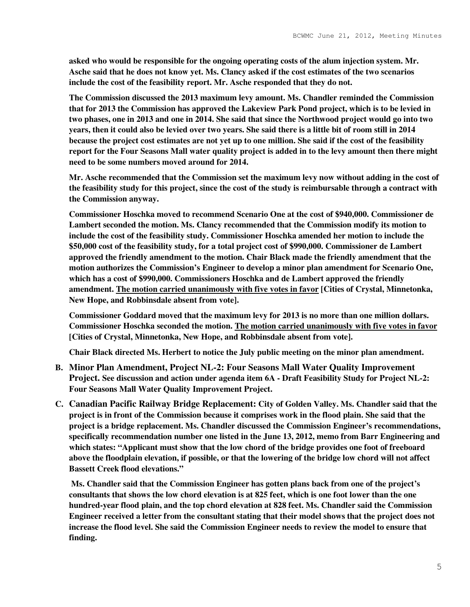**asked who would be responsible for the ongoing operating costs of the alum injection system. Mr. Asche said that he does not know yet. Ms. Clancy asked if the cost estimates of the two scenarios include the cost of the feasibility report. Mr. Asche responded that they do not.** 

**The Commission discussed the 2013 maximum levy amount. Ms. Chandler reminded the Commission that for 2013 the Commission has approved the Lakeview Park Pond project, which is to be levied in two phases, one in 2013 and one in 2014. She said that since the Northwood project would go into two years, then it could also be levied over two years. She said there is a little bit of room still in 2014 because the project cost estimates are not yet up to one million. She said if the cost of the feasibility report for the Four Seasons Mall water quality project is added in to the levy amount then there might need to be some numbers moved around for 2014.** 

**Mr. Asche recommended that the Commission set the maximum levy now without adding in the cost of the feasibility study for this project, since the cost of the study is reimbursable through a contract with the Commission anyway.** 

**Commissioner Hoschka moved to recommend Scenario One at the cost of \$940,000. Commissioner de Lambert seconded the motion. Ms. Clancy recommended that the Commission modify its motion to include the cost of the feasibility study. Commissioner Hoschka amended her motion to include the \$50,000 cost of the feasibility study, for a total project cost of \$990,000. Commissioner de Lambert approved the friendly amendment to the motion. Chair Black made the friendly amendment that the motion authorizes the Commission's Engineer to develop a minor plan amendment for Scenario One, which has a cost of \$990,000. Commissioners Hoschka and de Lambert approved the friendly amendment. The motion carried unanimously with five votes in favor [Cities of Crystal, Minnetonka, New Hope, and Robbinsdale absent from vote].** 

**Commissioner Goddard moved that the maximum levy for 2013 is no more than one million dollars. Commissioner Hoschka seconded the motion. The motion carried unanimously with five votes in favor [Cities of Crystal, Minnetonka, New Hope, and Robbinsdale absent from vote].** 

**Chair Black directed Ms. Herbert to notice the July public meeting on the minor plan amendment.** 

- **B. Minor Plan Amendment, Project NL-2: Four Seasons Mall Water Quality Improvement Project. See discussion and action under agenda item 6A - Draft Feasibility Study for Project NL-2: Four Seasons Mall Water Quality Improvement Project.**
- **C. Canadian Pacific Railway Bridge Replacement: City of Golden Valley. Ms. Chandler said that the project is in front of the Commission because it comprises work in the flood plain. She said that the project is a bridge replacement. Ms. Chandler discussed the Commission Engineer's recommendations, specifically recommendation number one listed in the June 13, 2012, memo from Barr Engineering and which states: "Applicant must show that the low chord of the bridge provides one foot of freeboard above the floodplain elevation, if possible, or that the lowering of the bridge low chord will not affect Bassett Creek flood elevations."**

 **Ms. Chandler said that the Commission Engineer has gotten plans back from one of the project's consultants that shows the low chord elevation is at 825 feet, which is one foot lower than the one hundred-year flood plain, and the top chord elevation at 828 feet. Ms. Chandler said the Commission Engineer received a letter from the consultant stating that their model shows that the project does not increase the flood level. She said the Commission Engineer needs to review the model to ensure that finding.**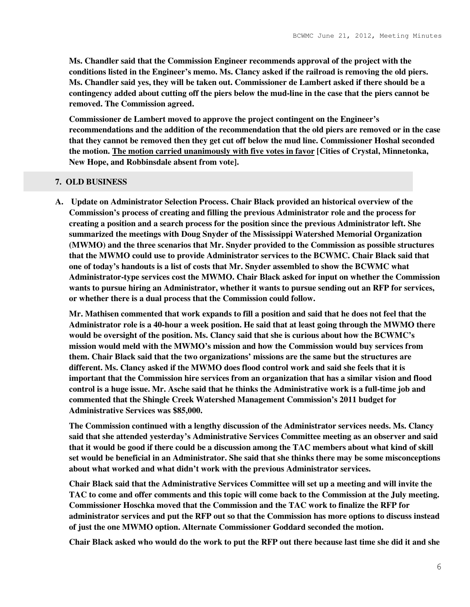**Ms. Chandler said that the Commission Engineer recommends approval of the project with the conditions listed in the Engineer's memo. Ms. Clancy asked if the railroad is removing the old piers. Ms. Chandler said yes, they will be taken out. Commissioner de Lambert asked if there should be a contingency added about cutting off the piers below the mud-line in the case that the piers cannot be removed. The Commission agreed.** 

**Commissioner de Lambert moved to approve the project contingent on the Engineer's recommendations and the addition of the recommendation that the old piers are removed or in the case that they cannot be removed then they get cut off below the mud line. Commissioner Hoshal seconded the motion. The motion carried unanimously with five votes in favor [Cities of Crystal, Minnetonka, New Hope, and Robbinsdale absent from vote].** 

#### **7. OLD BUSINESS**

**A. Update on Administrator Selection Process. Chair Black provided an historical overview of the Commission's process of creating and filling the previous Administrator role and the process for creating a position and a search process for the position since the previous Administrator left. She summarized the meetings with Doug Snyder of the Mississippi Watershed Memorial Organization (MWMO) and the three scenarios that Mr. Snyder provided to the Commission as possible structures that the MWMO could use to provide Administrator services to the BCWMC. Chair Black said that one of today's handouts is a list of costs that Mr. Snyder assembled to show the BCWMC what Administrator-type services cost the MWMO. Chair Black asked for input on whether the Commission wants to pursue hiring an Administrator, whether it wants to pursue sending out an RFP for services, or whether there is a dual process that the Commission could follow.** 

**Mr. Mathisen commented that work expands to fill a position and said that he does not feel that the Administrator role is a 40-hour a week position. He said that at least going through the MWMO there would be oversight of the position. Ms. Clancy said that she is curious about how the BCWMC's mission would meld with the MWMO's mission and how the Commission would buy services from them. Chair Black said that the two organizations' missions are the same but the structures are different. Ms. Clancy asked if the MWMO does flood control work and said she feels that it is important that the Commission hire services from an organization that has a similar vision and flood control is a huge issue. Mr. Asche said that he thinks the Administrative work is a full-time job and commented that the Shingle Creek Watershed Management Commission's 2011 budget for Administrative Services was \$85,000.** 

**The Commission continued with a lengthy discussion of the Administrator services needs. Ms. Clancy said that she attended yesterday's Administrative Services Committee meeting as an observer and said that it would be good if there could be a discussion among the TAC members about what kind of skill set would be beneficial in an Administrator. She said that she thinks there may be some misconceptions about what worked and what didn't work with the previous Administrator services.** 

**Chair Black said that the Administrative Services Committee will set up a meeting and will invite the TAC to come and offer comments and this topic will come back to the Commission at the July meeting. Commissioner Hoschka moved that the Commission and the TAC work to finalize the RFP for administrator services and put the RFP out so that the Commission has more options to discuss instead of just the one MWMO option. Alternate Commissioner Goddard seconded the motion.** 

**Chair Black asked who would do the work to put the RFP out there because last time she did it and she**